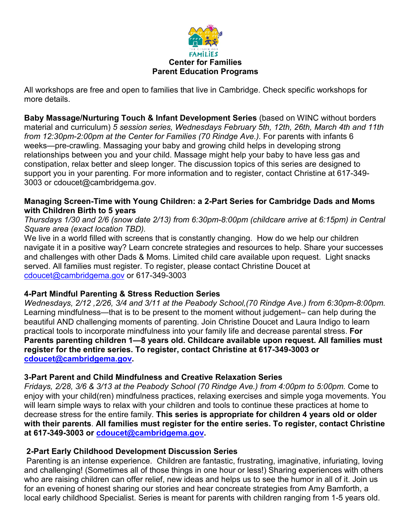

All workshops are free and open to families that live in Cambridge. Check specific workshops for more details.

**Baby Massage/Nurturing Touch & Infant Development Series** (based on WINC without borders material and curriculum) *5 session series, Wednesdays February 5th, 12th, 26th, March 4th and 11th*  from 12:30pm-2:00pm at the Center for Families (70 Rindge Ave.). For parents with infants 6 weeks—pre-crawling. Massaging your baby and growing child helps in developing strong relationships between you and your child. Massage might help your baby to have less gas and constipation, relax better and sleep longer. The discussion topics of this series are designed to support you in your parenting. For more information and to register, contact Christine at 617-349- 3003 or cdoucet@cambridgema.gov.

### **Managing Screen-Time with Young Children: a 2-Part Series for Cambridge Dads and Moms with Children Birth to 5 years**

### *Thursdays 1/30 and 2/6 (snow date 2/13) from 6:30pm-8:00pm (childcare arrive at 6:15pm) in Central Square area (exact location TBD).*

We live in a world filled with screens that is constantly changing. How do we help our children navigate it in a positive way? Learn concrete strategies and resources to help. Share your successes and challenges with other Dads & Moms. Limited child care available upon request. Light snacks served. All families must register. To register, please contact Christine Doucet at [cdoucet@cambridgema.gov](mailto:cdoucet@cambridgema.gov) or 617-349-3003

## **4-Part Mindful Parenting & Stress Reduction Series**

*Wednesdays, 2/12 ,2/26, 3/4 and 3/11 at the Peabody School,(70 Rindge Ave.) from 6:30pm-8:00pm.*  Learning mindfulness—that is to be present to the moment without judgement– can help during the beautiful AND challenging moments of parenting. Join Christine Doucet and Laura Indigo to learn practical tools to incorporate mindfulness into your family life and decrease parental stress. **For Parents parenting children 1—8 years old. Childcare available upon request. All families must register for the entire series. To register, contact Christine at 617-349-3003 or [cdoucet@cambridgema.gov.](mailto:cdoucet@cambridgema.gov)** 

### **3-Part Parent and Child Mindfulness and Creative Relaxation Series**

*Fridays, 2/28, 3/6 & 3/13 at the Peabody School (70 Rindge Ave.) from 4:00pm to 5:00pm.* Come to enjoy with your child(ren) mindfulness practices, relaxing exercises and simple yoga movements. You will learn simple ways to relax with your children and tools to continue these practices at home to decrease stress for the entire family. **This series is appropriate for children 4 years old or older with their parents**. **All families must register for the entire series. To register, contact Christine at 617-349-3003 or [cdoucet@cambridgema.gov.](mailto:cdoucet@cambridgema.gov)** 

### **2-Part Early Childhood Development Discussion Series**

Parenting is an intense experience. Children are fantastic, frustrating, imaginative, infuriating, loving and challenging! (Sometimes all of those things in one hour or less!) Sharing experiences with others who are raising children can offer relief, new ideas and helps us to see the humor in all of it. Join us for an evening of honest sharing our stories and hear concreate strategies from Amy Bamforth, a local early childhood Specialist. Series is meant for parents with children ranging from 1-5 years old.